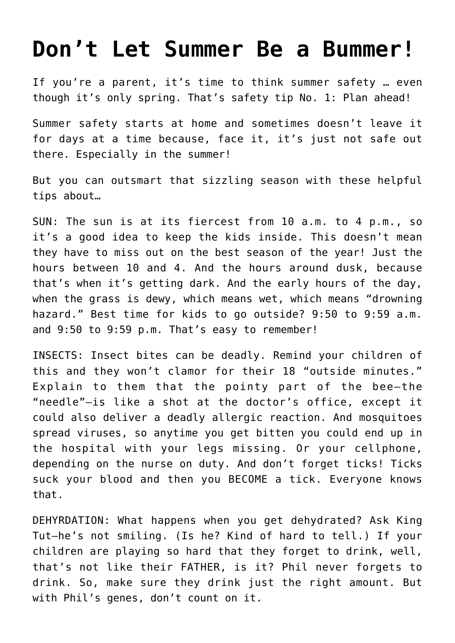## **[Don't Let Summer Be a Bummer!](https://intellectualtakeout.org/2022/04/dont-let-summer-be-a-bummer/)**

If you're a parent, it's time to think summer safety … even though it's only spring. That's safety tip No. 1: Plan ahead!

Summer safety starts at home and sometimes doesn't leave it for days at a time because, face it, it's just not safe out there. Especially in the summer!

But you can outsmart that sizzling season with these helpful tips about…

SUN: The sun is at its fiercest from 10 a.m. to 4 p.m., so it's a good idea to keep the kids inside. This doesn't mean they have to miss out on the best season of the year! Just the hours between 10 and 4. And the hours around dusk, because that's when it's getting dark. And the early hours of the day, when the grass is dewy, which means wet, which means "drowning hazard." Best time for kids to go outside? 9:50 to 9:59 a.m. and 9:50 to 9:59 p.m. That's easy to remember!

INSECTS: Insect bites can be deadly. Remind your children of this and they won't clamor for their 18 "outside minutes." Explain to them that the pointy part of the bee—the "needle"—is like a shot at the doctor's office, except it could also deliver a deadly allergic reaction. And mosquitoes spread viruses, so anytime you get bitten you could end up in the hospital with your legs missing. Or your cellphone, depending on the nurse on duty. And don't forget ticks! Ticks suck your blood and then you BECOME a tick. Everyone knows that.

DEHYRDATION: What happens when you get dehydrated? Ask King Tut—he's not smiling. (Is he? Kind of hard to tell.) If your children are playing so hard that they forget to drink, well, that's not like their FATHER, is it? Phil never forgets to drink. So, make sure they drink just the right amount. But with Phil's genes, don't count on it.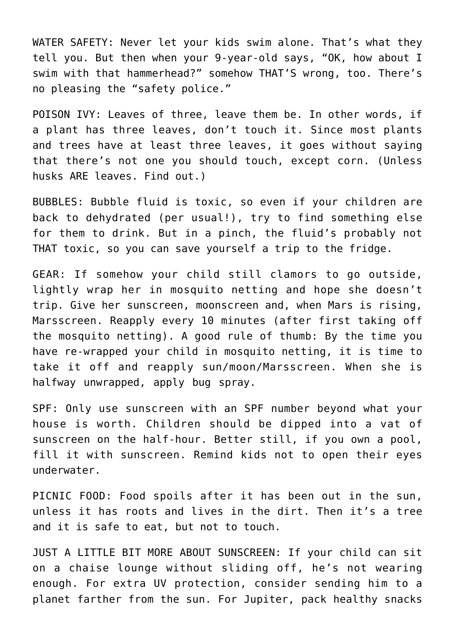WATER SAFETY: Never let your kids swim alone. That's what they tell you. But then when your 9-year-old says, "OK, how about I swim with that hammerhead?" somehow THAT'S wrong, too. There's no pleasing the "safety police."

POISON IVY: Leaves of three, leave them be. In other words, if a plant has three leaves, don't touch it. Since most plants and trees have at least three leaves, it goes without saying that there's not one you should touch, except corn. (Unless husks ARE leaves. Find out.)

BUBBLES: Bubble fluid is toxic, so even if your children are back to dehydrated (per usual!), try to find something else for them to drink. But in a pinch, the fluid's probably not THAT toxic, so you can save yourself a trip to the fridge.

GEAR: If somehow your child still clamors to go outside, lightly wrap her in mosquito netting and hope she doesn't trip. Give her sunscreen, moonscreen and, when Mars is rising, Marsscreen. Reapply every 10 minutes (after first taking off the mosquito netting). A good rule of thumb: By the time you have re-wrapped your child in mosquito netting, it is time to take it off and reapply sun/moon/Marsscreen. When she is halfway unwrapped, apply bug spray.

SPF: Only use sunscreen with an SPF number beyond what your house is worth. Children should be dipped into a vat of sunscreen on the half-hour. Better still, if you own a pool, fill it with sunscreen. Remind kids not to open their eyes underwater.

PICNIC FOOD: Food spoils after it has been out in the sun, unless it has roots and lives in the dirt. Then it's a tree and it is safe to eat, but not to touch.

JUST A LITTLE BIT MORE ABOUT SUNSCREEN: If your child can sit on a chaise lounge without sliding off, he's not wearing enough. For extra UV protection, consider sending him to a planet farther from the sun. For Jupiter, pack healthy snacks